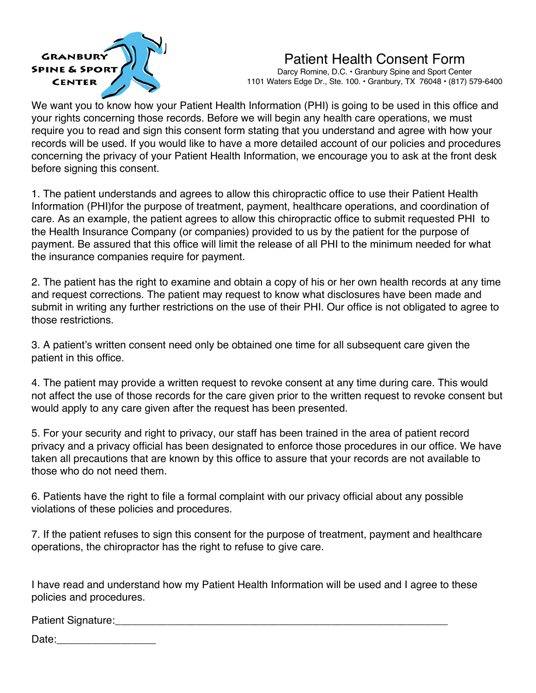

# Patient Health Consent Form

Darcy Romine, D.C. • Granbury Spine and Sport Center 1101 Waters Edge Dr., Ste. 100. • Granbury, TX 76048 • (817) 579-6400

We want you to know how your Patient Health Information (PHI) is going to be used in this office and your rights concerning those records. Before we will begin any health care operations, we must require you to read and sign this consent form stating that you understand and agree with how your records will be used. If you would like to have a more detailed account of our policies and procedures concerning the privacy of your Patient Health Information, we encourage you to ask at the front desk before signing this consent.

1. The patient understands and agrees to allow this chiropractic office to use their Patient Health Information (PHI)for the purpose of treatment, payment, healthcare operations, and coordination of care. As an example, the patient agrees to allow this chiropractic office to submit requested PHI to the Health Insurance Company (or companies) provided to us by the patient for the purpose of payment. Be assured that this office will limit the release of all PHI to the minimum needed for what the insurance companies require for payment.

2. The patient has the right to examine and obtain a copy of his or her own health records at any time and request corrections. The patient may request to know what disclosures have been made and submit in writing any further restrictions on the use of their PHI. Our office is not obligated to agree to those restrictions.

3. A patient's written consent need only be obtained one time for all subsequent care given the patient in this office.

4. The patient may provide a written request to revoke consent at any time during care. This would not affect the use of those records for the care given prior to the written request to revoke consent but would apply to any care given after the request has been presented.

5. For your security and right to privacy, our staff has been trained in the area of patient record privacy and a privacy official has been designated to enforce those procedures in our office. We have taken all precautions that are known by this office to assure that your records are not available to those who do not need them.

6. Patients have the right to file a formal complaint with our privacy official about any possible violations of these policies and procedures.

7. If the patient refuses to sign this consent for the purpose of treatment, payment and healthcare operations, the chiropractor has the right to refuse to give care.

I have read and understand how my Patient Health Information will be used and I agree to these policies and procedures.

Patient Signature:

Date: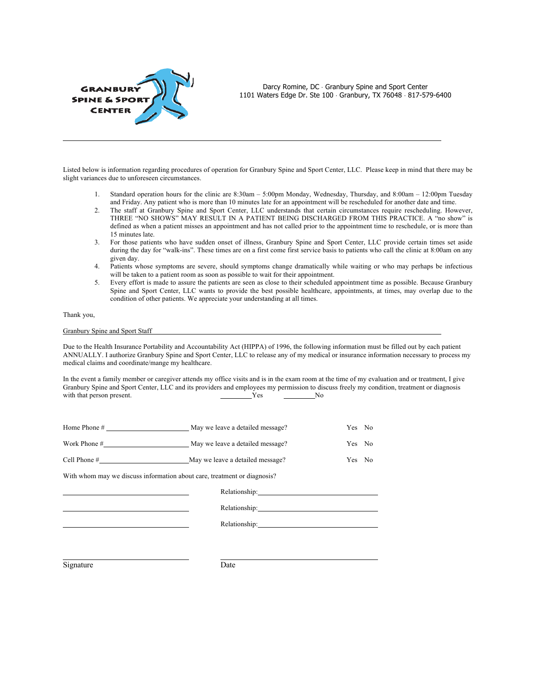

Darcy Romine, DC · Granbury Spine and Sport Center 1101 Waters Edge Dr. Ste 100 × Granbury, TX 76048 × 817-579-6400

Listed below is information regarding procedures of operation for Granbury Spine and Sport Center, LLC. Please keep in mind that there may be slight variances due to unforeseen circumstances.

- 1. Standard operation hours for the clinic are 8:30am 5:00pm Monday, Wednesday, Thursday, and 8:00am 12:00pm Tuesday and Friday. Any patient who is more than 10 minutes late for an appointment will be rescheduled for another date and time.
- 2. The staff at Granbury Spine and Sport Center, LLC understands that certain circumstances require rescheduling. However, THREE "NO SHOWS" MAY RESULT IN A PATIENT BEING DISCHARGED FROM THIS PRACTICE. A "no show" is defined as when a patient misses an appointment and has not called prior to the appointment time to reschedule, or is more than 15 minutes late.
- 3. For those patients who have sudden onset of illness, Granbury Spine and Sport Center, LLC provide certain times set aside during the day for "walk-ins". These times are on a first come first service basis to patients who call the clinic at 8:00am on any given day.
- 4. Patients whose symptoms are severe, should symptoms change dramatically while waiting or who may perhaps be infectious will be taken to a patient room as soon as possible to wait for their appointment.
- 5. Every effort is made to assure the patients are seen as close to their scheduled appointment time as possible. Because Granbury Spine and Sport Center, LLC wants to provide the best possible healthcare, appointments, at times, may overlap due to the condition of other patients. We appreciate your understanding at all times.

### Thank you,

#### Granbury Spine and Sport Staff

Due to the Health Insurance Portability and Accountability Act (HIPPA) of 1996, the following information must be filled out by each patient ANNUALLY. I authorize Granbury Spine and Sport Center, LLC to release any of my medical or insurance information necessary to process my medical claims and coordinate/mange my healthcare.

In the event a family member or caregiver attends my office visits and is in the exam room at the time of my evaluation and or treatment, I give Granbury Spine and Sport Center, LLC and its providers and employees my permission to discuss freely my condition, treatment or diagnosis with that person present. Yes No with that person present. Yes

|                                                                          | May we leave a detailed message? | Yes No |  |  |  |  |
|--------------------------------------------------------------------------|----------------------------------|--------|--|--|--|--|
|                                                                          | May we leave a detailed message? | Yes No |  |  |  |  |
| Cell Phone $#$                                                           | May we leave a detailed message? | Yes No |  |  |  |  |
| With whom may we discuss information about care, treatment or diagnosis? |                                  |        |  |  |  |  |
|                                                                          |                                  |        |  |  |  |  |
|                                                                          | Relationship: 1999               |        |  |  |  |  |
|                                                                          |                                  |        |  |  |  |  |

Relationship:

Signature Date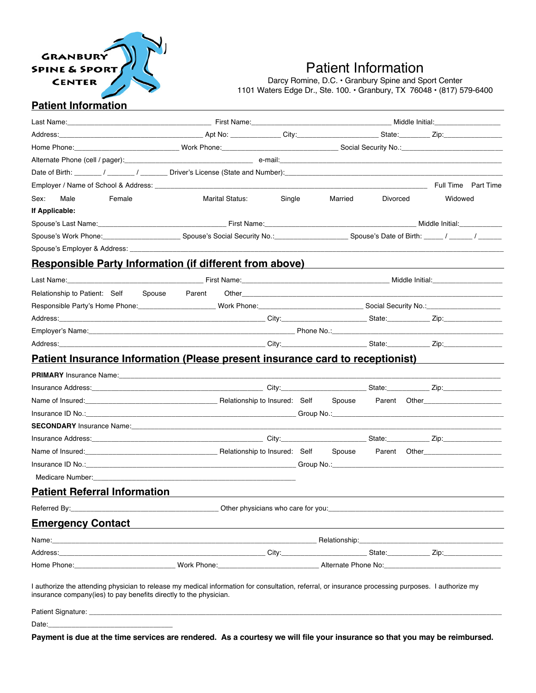

# Patient Information

Darcy Romine, D.C. • Granbury Spine and Sport Center 1101 Waters Edge Dr., Ste. 100. • Granbury, TX 76048 • (817) 579-6400

## **Patient Information**

| Address: Zip: 2001 - 2002 - 2003 - 2004 - 2008 - 2009 - 2009 - 2009 - 2009 - 2009 - 2009 - 2009 - 2009 - 2009 - 2009 - 2009 - 2009 - 2009 - 2009 - 2009 - 2009 - 2009 - 2009 - 2009 - 2009 - 2009 - 2009 - 2009 - 2009 - 2009        |                                    |        |         |          |  |                                                    |  |
|--------------------------------------------------------------------------------------------------------------------------------------------------------------------------------------------------------------------------------------|------------------------------------|--------|---------|----------|--|----------------------------------------------------|--|
|                                                                                                                                                                                                                                      |                                    |        |         |          |  |                                                    |  |
|                                                                                                                                                                                                                                      |                                    |        |         |          |  |                                                    |  |
|                                                                                                                                                                                                                                      |                                    |        |         |          |  |                                                    |  |
|                                                                                                                                                                                                                                      |                                    |        |         |          |  | Full Time Part Time                                |  |
| Sex:<br>Male<br>Female                                                                                                                                                                                                               | <b>Marital Status:</b>             | Single | Married | Divorced |  | Widowed                                            |  |
| If Applicable:                                                                                                                                                                                                                       |                                    |        |         |          |  |                                                    |  |
|                                                                                                                                                                                                                                      |                                    |        |         |          |  |                                                    |  |
|                                                                                                                                                                                                                                      |                                    |        |         |          |  |                                                    |  |
|                                                                                                                                                                                                                                      |                                    |        |         |          |  |                                                    |  |
| <b>Responsible Party Information (if different from above)</b>                                                                                                                                                                       |                                    |        |         |          |  | <u> 1989 - John Stein, Amerikaansk politiker (</u> |  |
|                                                                                                                                                                                                                                      |                                    |        |         |          |  |                                                    |  |
| Relationship to Patient: Self Spouse Parent                                                                                                                                                                                          |                                    |        |         |          |  |                                                    |  |
| Responsible Party's Home Phone: North Phone: Nork Phone: North Phone: North Phone: North Phone: North Phone: North Phone: North Phone: North Phone: North Phone: North Phone: North Phone: North Phone: North Phone: North Pho       |                                    |        |         |          |  |                                                    |  |
|                                                                                                                                                                                                                                      |                                    |        |         |          |  |                                                    |  |
|                                                                                                                                                                                                                                      |                                    |        |         |          |  |                                                    |  |
|                                                                                                                                                                                                                                      |                                    |        |         |          |  |                                                    |  |
| <b>Patient Insurance Information (Please present insurance card to receptionist)</b>                                                                                                                                                 |                                    |        |         |          |  |                                                    |  |
|                                                                                                                                                                                                                                      |                                    |        |         |          |  |                                                    |  |
|                                                                                                                                                                                                                                      |                                    |        |         |          |  |                                                    |  |
| Name of Insured: Contact Currence Contact Telecommunications and Contact Currence Contact Telecommunications and Dennis and Dennis Annual Currence Currence Contact Telecommunications and Dennis Annual Currence Currence Cur       |                                    |        |         |          |  |                                                    |  |
| Insurance ID No.: <b>Alternative Contract Contract Contract Contract Contract Contract Contract Contract Contract Contract Contract Contract Contract Contract Contract Contract Contract Contract Contract Contract Contract Co</b> |                                    |        |         |          |  |                                                    |  |
| SECONDARY Insurance Name: Manual Manual Manual Manual Manual Manual Manual Manual Manual Manual Manual Manual                                                                                                                        |                                    |        |         |          |  |                                                    |  |
|                                                                                                                                                                                                                                      |                                    |        |         |          |  |                                                    |  |
| Name of Insured: Contact Currence Contact Telescope Contact Medicineship to Insured: Self Spouse Parent Other                                                                                                                        |                                    |        |         |          |  |                                                    |  |
|                                                                                                                                                                                                                                      |                                    |        |         |          |  |                                                    |  |
|                                                                                                                                                                                                                                      |                                    |        |         |          |  |                                                    |  |
| <b>Patient Referral Information</b>                                                                                                                                                                                                  |                                    |        |         |          |  |                                                    |  |
| Referred By:                                                                                                                                                                                                                         | Other physicians who care for you: |        |         |          |  |                                                    |  |
| <b>Emergency Contact</b>                                                                                                                                                                                                             |                                    |        |         |          |  |                                                    |  |
|                                                                                                                                                                                                                                      |                                    |        |         |          |  |                                                    |  |
|                                                                                                                                                                                                                                      |                                    |        |         |          |  |                                                    |  |
| Home Phone: Contract of Contract of Contract of Contract Oriental Alternate Phone No: Contract Oriental Alternate Phone No:                                                                                                          |                                    |        |         |          |  |                                                    |  |
| I authorize the attending physician to release my medical information for consultation, referral, or insurance processing purposes. I authorize my<br>insurance company(ies) to pay benefits directly to the physician.              |                                    |        |         |          |  |                                                    |  |
|                                                                                                                                                                                                                                      |                                    |        |         |          |  |                                                    |  |

Date:

**Payment is due at the time services are rendered. As a courtesy we will file your insurance so that you may be reimbursed.**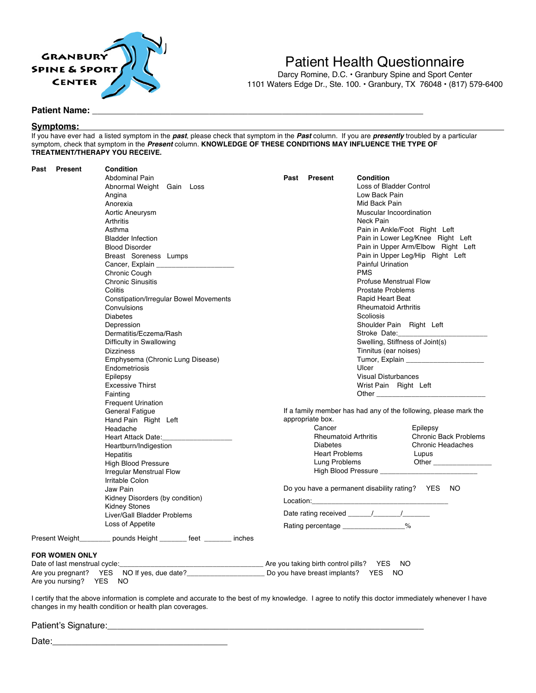

# Patient Health Questionnaire

Darcy Romine, D.C. • Granbury Spine and Sport Center 1101 Waters Edge Dr., Ste. 100. • Granbury, TX 76048 • (817) 579-6400

### **Patient Name:**

### **Symptoms:**

If you have ever had a listed symptom in the *past*, please check that symptom in the *Past* column. If you are *presently* troubled by a particular symptom, check that symptom in the *Present* column. **KNOWLEDGE OF THESE CONDITIONS MAY INFLUENCE THE TYPE OF TREATMENT/THERAPY YOU RECEIVE.**

| Past<br><b>Present</b>                           | Condition<br><b>Abdominal Pain</b><br>Abnormal Weight Gain Loss<br>Angina<br>Anorexia<br>Aortic Aneurysm<br>Arthritis<br>Asthma<br><b>Bladder Infection</b><br><b>Blood Disorder</b><br>Breast Soreness Lumps<br>Chronic Cough<br><b>Chronic Sinusitis</b><br>Colitis<br><b>Constipation/Irregular Bowel Movements</b><br>Convulsions<br><b>Diabetes</b><br>Depression<br>Dermatitis/Eczema/Rash | Past<br>Present                                                                                                        | <b>Condition</b><br>Loss of Bladder Control<br>Low Back Pain<br>Mid Back Pain<br>Muscular Incoordination<br>Neck Pain<br>Pain in Ankle/Foot Right Left<br>Pain in Lower Leg/Knee Right Left<br>Pain in Upper Arm/Elbow Right Left<br>Pain in Upper Leg/Hip Right Left<br><b>Painful Urination</b><br><b>PMS</b><br><b>Profuse Menstrual Flow</b><br><b>Prostate Problems</b><br>Rapid Heart Beat<br><b>Rheumatoid Arthritis</b><br>Scoliosis<br>Shoulder Pain Right Left<br>Stroke Date: |
|--------------------------------------------------|--------------------------------------------------------------------------------------------------------------------------------------------------------------------------------------------------------------------------------------------------------------------------------------------------------------------------------------------------------------------------------------------------|------------------------------------------------------------------------------------------------------------------------|------------------------------------------------------------------------------------------------------------------------------------------------------------------------------------------------------------------------------------------------------------------------------------------------------------------------------------------------------------------------------------------------------------------------------------------------------------------------------------------|
|                                                  | Difficulty in Swallowing<br><b>Dizziness</b><br>Emphysema (Chronic Lung Disease)<br>Endometriosis                                                                                                                                                                                                                                                                                                |                                                                                                                        | Swelling, Stiffness of Joint(s)<br>Tinnitus (ear noises)<br>Tumor, Explain<br>Ulcer                                                                                                                                                                                                                                                                                                                                                                                                      |
|                                                  | Epilepsy<br><b>Excessive Thirst</b><br>Fainting<br><b>Frequent Urination</b>                                                                                                                                                                                                                                                                                                                     |                                                                                                                        | <b>Visual Disturbances</b><br>Wrist Pain Right Left                                                                                                                                                                                                                                                                                                                                                                                                                                      |
|                                                  | <b>General Fatigue</b><br>Hand Pain Right Left<br>Headache<br>Heart Attack Date:<br>Heartburn/Indigestion<br>Hepatitis<br><b>High Blood Pressure</b>                                                                                                                                                                                                                                             | appropriate box.<br>Cancer<br><b>Rheumatoid Arthritis</b><br><b>Diabetes</b><br><b>Heart Problems</b><br>Lung Problems | If a family member has had any of the following, please mark the<br>Epilepsy<br><b>Chronic Back Problems</b><br><b>Chronic Headaches</b><br>Lupus                                                                                                                                                                                                                                                                                                                                        |
|                                                  | Irregular Menstrual Flow<br>Irritable Colon<br>Jaw Pain<br>Kidney Disorders (by condition)<br><b>Kidney Stones</b>                                                                                                                                                                                                                                                                               |                                                                                                                        | High Blood Pressure ____________<br>Do you have a permanent disability rating? YES NO<br>Location: the contract of the contract of the contract of the contract of the contract of the contract of the contract of the contract of the contract of the contract of the contract of the contract of the contract of the                                                                                                                                                                   |
|                                                  | Liver/Gall Bladder Problems<br>Loss of Appetite<br>Present Weight_________ pounds Height _______ feet ______ inches                                                                                                                                                                                                                                                                              | Rating percentage 2%                                                                                                   |                                                                                                                                                                                                                                                                                                                                                                                                                                                                                          |
| <b>FOR WOMEN ONLY</b><br>Are you nursing? YES NO | Date of last menstrual cycle:____________<br>Are you pregnant? YES NO If yes, due date?____________________________Do you have breast implants? YES                                                                                                                                                                                                                                              |                                                                                                                        | - NO<br><b>NO</b>                                                                                                                                                                                                                                                                                                                                                                                                                                                                        |

I certify that the above information is complete and accurate to the best of my knowledge. I agree to notify this doctor immediately whenever I have changes in my health condition or health plan coverages.

Patient's Signature:

 $Date:$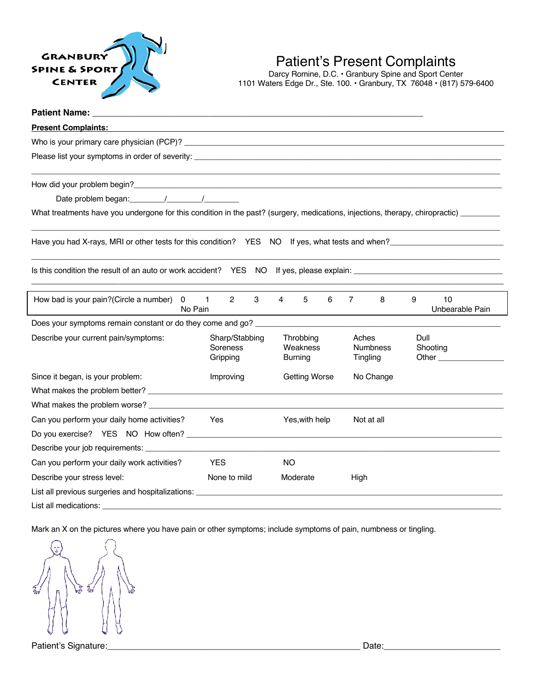

# Patient's Present Complaints

Darcy Romine, D.C. • Granbury Spine and Sport Center 1101 Waters Edge Dr., Ste. 100. • Granbury, TX 76048 • (817) 579-6400

| <b>Patient Name:</b>                                                                                                                   |                                             |                                         |                                      |                                                                                                                       |
|----------------------------------------------------------------------------------------------------------------------------------------|---------------------------------------------|-----------------------------------------|--------------------------------------|-----------------------------------------------------------------------------------------------------------------------|
| <b>Present Complaints:</b>                                                                                                             |                                             |                                         |                                      |                                                                                                                       |
|                                                                                                                                        |                                             |                                         |                                      |                                                                                                                       |
|                                                                                                                                        |                                             |                                         |                                      |                                                                                                                       |
|                                                                                                                                        |                                             |                                         |                                      | <u> 1989 - Johann Stoff, deutscher Stoff, der Stoff, der Stoff, der Stoff, der Stoff, der Stoff, der Stoff, der S</u> |
|                                                                                                                                        |                                             |                                         |                                      |                                                                                                                       |
| What treatments have you undergone for this condition in the past? (surgery, medications, injections, therapy, chiropractic) _________ |                                             |                                         |                                      |                                                                                                                       |
| Have you had X-rays, MRI or other tests for this condition? YES NO If yes, what tests and when?                                        |                                             |                                         |                                      |                                                                                                                       |
|                                                                                                                                        |                                             |                                         |                                      |                                                                                                                       |
| How bad is your pain?(Circle a number) 0<br>No Pain                                                                                    | $\overline{1}$<br>$\mathbf{2}^{\circ}$<br>3 | 4<br>5<br>6                             | $\overline{7}$<br>8                  | 9<br>10<br>Unbearable Pain                                                                                            |
|                                                                                                                                        |                                             |                                         |                                      |                                                                                                                       |
| Describe your current pain/symptoms:                                                                                                   | Sharp/Stabbing<br>Soreness<br>Gripping      | Throbbing<br>Weakness<br><b>Burning</b> | Aches<br><b>Numbness</b><br>Tingling | Dull<br>Shooting                                                                                                      |
| Since it began, is your problem:<br>Improving                                                                                          |                                             | Getting Worse                           | No Change                            |                                                                                                                       |
|                                                                                                                                        |                                             |                                         |                                      |                                                                                                                       |
| What makes the problem worse?                                                                                                          |                                             |                                         |                                      |                                                                                                                       |
| Can you perform your daily home activities?                                                                                            | Yes                                         | Yes, with help                          | Not at all                           |                                                                                                                       |
|                                                                                                                                        |                                             |                                         |                                      |                                                                                                                       |
| Describe your job requirements:                                                                                                        |                                             |                                         |                                      |                                                                                                                       |
| Can you perform your daily work activities?                                                                                            | <b>YES</b>                                  | <b>NO</b>                               |                                      |                                                                                                                       |
| Describe your stress level:                                                                                                            | None to mild                                | Moderate                                | High                                 |                                                                                                                       |
| List all previous surgeries and hospitalizations: ______________________________                                                       |                                             |                                         |                                      |                                                                                                                       |
| List all medications:                                                                                                                  |                                             |                                         |                                      |                                                                                                                       |

Mark an X on the pictures where you have pain or other symptoms; include symptoms of pain, numbness or tingling.



Patient's Signature:\_\_\_\_\_\_\_\_\_\_\_\_\_\_\_\_\_\_\_\_\_\_\_\_\_\_\_\_\_\_\_\_\_\_\_\_\_\_\_\_\_\_\_\_\_\_\_\_\_\_\_\_ Date:\_\_\_\_\_\_\_\_\_\_\_\_\_\_\_\_\_\_\_\_\_\_\_\_